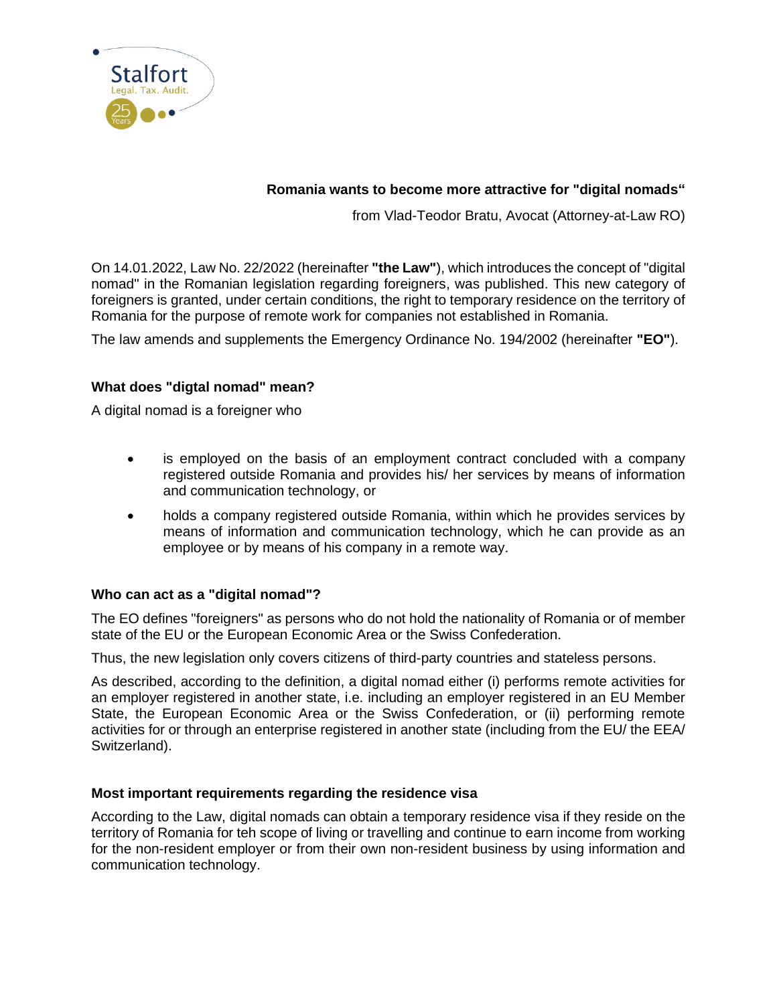

# **Romania wants to become more attractive for "digital nomads"**

from Vlad-Teodor Bratu, Avocat (Attorney-at-Law RO)

On 14.01.2022, Law No. 22/2022 (hereinafter **"the Law"**), which introduces the concept of "digital nomad" in the Romanian legislation regarding foreigners, was published. This new category of foreigners is granted, under certain conditions, the right to temporary residence on the territory of Romania for the purpose of remote work for companies not established in Romania.

The law amends and supplements the Emergency Ordinance No. 194/2002 (hereinafter **"EO"**).

## **What does "digtal nomad" mean?**

A digital nomad is a foreigner who

- is employed on the basis of an employment contract concluded with a company registered outside Romania and provides his/ her services by means of information and communication technology, or
- holds a company registered outside Romania, within which he provides services by means of information and communication technology, which he can provide as an employee or by means of his company in a remote way.

## **Who can act as a "digital nomad"?**

The EO defines "foreigners" as persons who do not hold the nationality of Romania or of member state of the EU or the European Economic Area or the Swiss Confederation.

Thus, the new legislation only covers citizens of third-party countries and stateless persons.

As described, according to the definition, a digital nomad either (i) performs remote activities for an employer registered in another state, i.e. including an employer registered in an EU Member State, the European Economic Area or the Swiss Confederation, or (ii) performing remote activities for or through an enterprise registered in another state (including from the EU/ the EEA/ Switzerland).

#### **Most important requirements regarding the residence visa**

According to the Law, digital nomads can obtain a temporary residence visa if they reside on the territory of Romania for teh scope of living or travelling and continue to earn income from working for the non-resident employer or from their own non-resident business by using information and communication technology.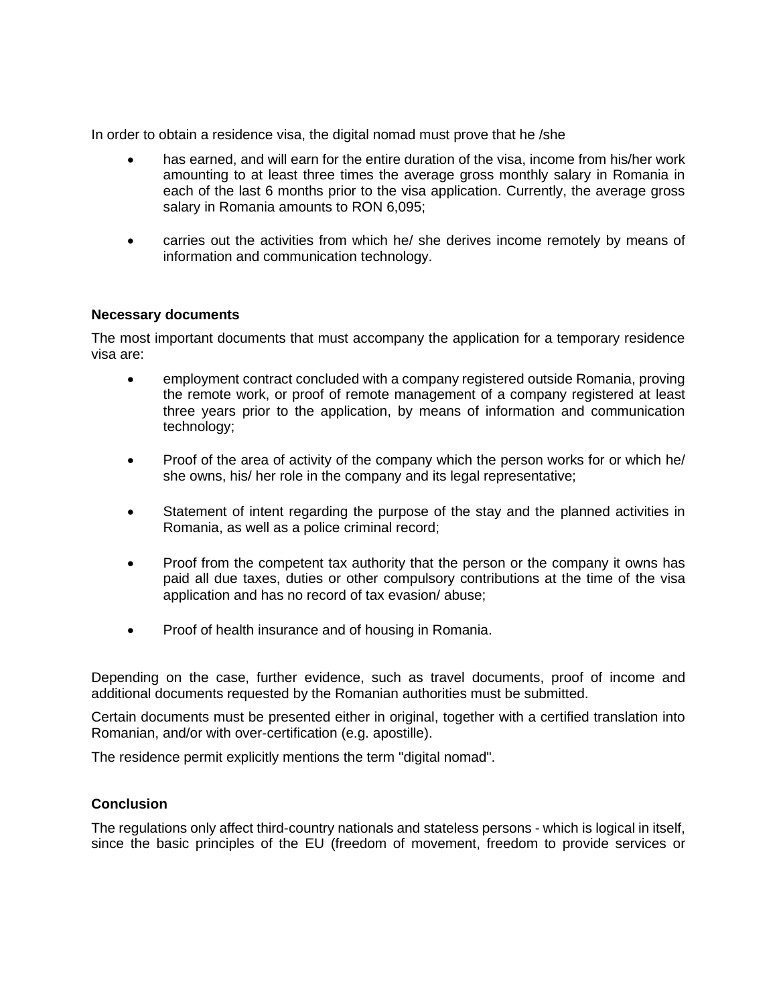In order to obtain a residence visa, the digital nomad must prove that he /she

- has earned, and will earn for the entire duration of the visa, income from his/her work amounting to at least three times the average gross monthly salary in Romania in each of the last 6 months prior to the visa application. Currently, the average gross salary in Romania amounts to RON 6,095;
- carries out the activities from which he/ she derives income remotely by means of information and communication technology.

#### **Necessary documents**

The most important documents that must accompany the application for a temporary residence visa are:

- employment contract concluded with a company registered outside Romania, proving the remote work, or proof of remote management of a company registered at least three years prior to the application, by means of information and communication technology;
- Proof of the area of activity of the company which the person works for or which he/ she owns, his/ her role in the company and its legal representative;
- Statement of intent regarding the purpose of the stay and the planned activities in Romania, as well as a police criminal record;
- Proof from the competent tax authority that the person or the company it owns has paid all due taxes, duties or other compulsory contributions at the time of the visa application and has no record of tax evasion/ abuse;
- Proof of health insurance and of housing in Romania.

Depending on the case, further evidence, such as travel documents, proof of income and additional documents requested by the Romanian authorities must be submitted.

Certain documents must be presented either in original, together with a certified translation into Romanian, and/or with over-certification (e.g. apostille).

The residence permit explicitly mentions the term "digital nomad".

#### **Conclusion**

The regulations only affect third-country nationals and stateless persons - which is logical in itself, since the basic principles of the EU (freedom of movement, freedom to provide services or